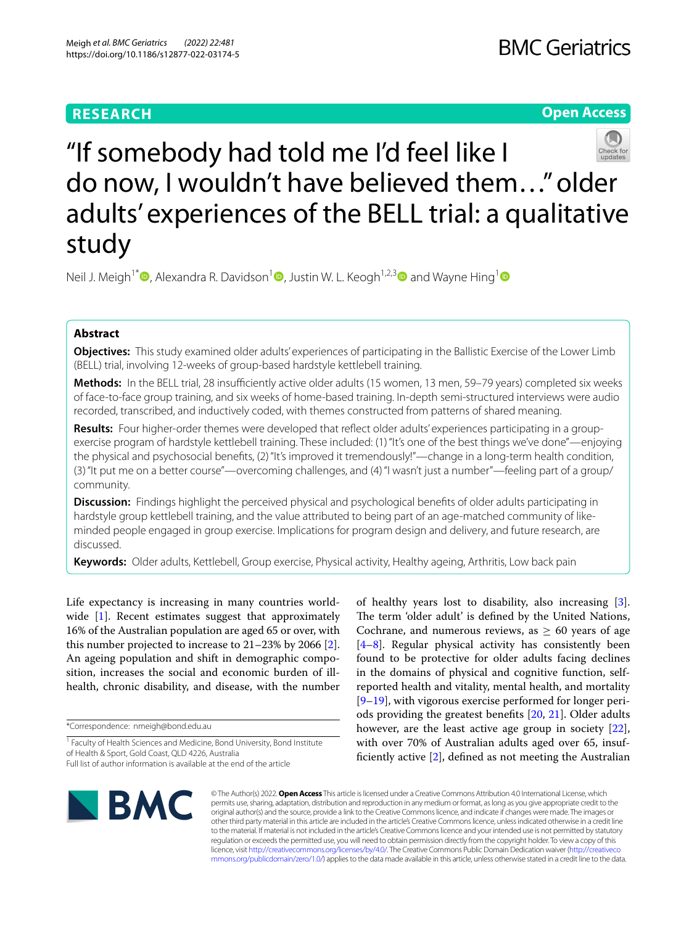# **RESEARCH**

# **Open Access**



"If somebody had told me I'd feel like I do now, I wouldn't have believed them…" older adults' experiences of the BELL trial: a qualitative study

Neil J. Meigh<sup>1[\\*](http://orcid.org/0000-0001-5125-2388)</sup>  $\bullet$ , Alexandra R. Davidson<sup>[1](http://orcid.org/0000-0002-0445-3299)</sup>  $\bullet$ , Justin W. L. Keogh<sup>1,2,3</sup> and Wayne Hing<sup>1</sup>

# **Abstract**

**Objectives:** This study examined older adults' experiences of participating in the Ballistic Exercise of the Lower Limb (BELL) trial, involving 12-weeks of group-based hardstyle kettlebell training.

Methods: In the BELL trial, 28 insufficiently active older adults (15 women, 13 men, 59–79 years) completed six weeks of face-to-face group training, and six weeks of home-based training. In-depth semi-structured interviews were audio recorded, transcribed, and inductively coded, with themes constructed from patterns of shared meaning.

**Results:** Four higher-order themes were developed that refect older adults' experiences participating in a groupexercise program of hardstyle kettlebell training. These included: (1) "It's one of the best things we've done"—enjoying the physical and psychosocial benefts, (2) "It's improved it tremendously!"—change in a long-term health condition, (3) "It put me on a better course"—overcoming challenges, and (4) "I wasn't just a number"—feeling part of a group/ community.

**Discussion:** Findings highlight the perceived physical and psychological benefts of older adults participating in hardstyle group kettlebell training, and the value attributed to being part of an age-matched community of likeminded people engaged in group exercise. Implications for program design and delivery, and future research, are discussed.

**Keywords:** Older adults, Kettlebell, Group exercise, Physical activity, Healthy ageing, Arthritis, Low back pain

Life expectancy is increasing in many countries world-wide [\[1](#page-11-0)]. Recent estimates suggest that approximately 16% of the Australian population are aged 65 or over, with this number projected to increase to 21–23% by 2066 [\[2](#page-11-1)]. An ageing population and shift in demographic composition, increases the social and economic burden of illhealth, chronic disability, and disease, with the number

\*Correspondence: nmeigh@bond.edu.au

of healthy years lost to disability, also increasing [\[3](#page-11-2)]. The term 'older adult' is defined by the United Nations, Cochrane, and numerous reviews, as  $\geq 60$  years of age [[4–](#page-11-3)[8\]](#page-11-4). Regular physical activity has consistently been found to be protective for older adults facing declines in the domains of physical and cognitive function, selfreported health and vitality, mental health, and mortality [[9–](#page-11-5)[19\]](#page-11-6), with vigorous exercise performed for longer periods providing the greatest benefts [[20,](#page-11-7) [21\]](#page-11-8). Older adults however, are the least active age group in society [\[22](#page-11-9)], with over 70% of Australian adults aged over 65, insufficiently active  $[2]$  $[2]$ , defined as not meeting the Australian



© The Author(s) 2022. **Open Access** This article is licensed under a Creative Commons Attribution 4.0 International License, which permits use, sharing, adaptation, distribution and reproduction in any medium or format, as long as you give appropriate credit to the original author(s) and the source, provide a link to the Creative Commons licence, and indicate if changes were made. The images or other third party material in this article are included in the article's Creative Commons licence, unless indicated otherwise in a credit line to the material. If material is not included in the article's Creative Commons licence and your intended use is not permitted by statutory regulation or exceeds the permitted use, you will need to obtain permission directly from the copyright holder. To view a copy of this licence, visit [http://creativecommons.org/licenses/by/4.0/.](http://creativecommons.org/licenses/by/4.0/) The Creative Commons Public Domain Dedication waiver ([http://creativeco](http://creativecommons.org/publicdomain/zero/1.0/) [mmons.org/publicdomain/zero/1.0/](http://creativecommons.org/publicdomain/zero/1.0/)) applies to the data made available in this article, unless otherwise stated in a credit line to the data.

<sup>&</sup>lt;sup>1</sup> Faculty of Health Sciences and Medicine, Bond University, Bond Institute of Health & Sport, Gold Coast, QLD 4226, Australia Full list of author information is available at the end of the article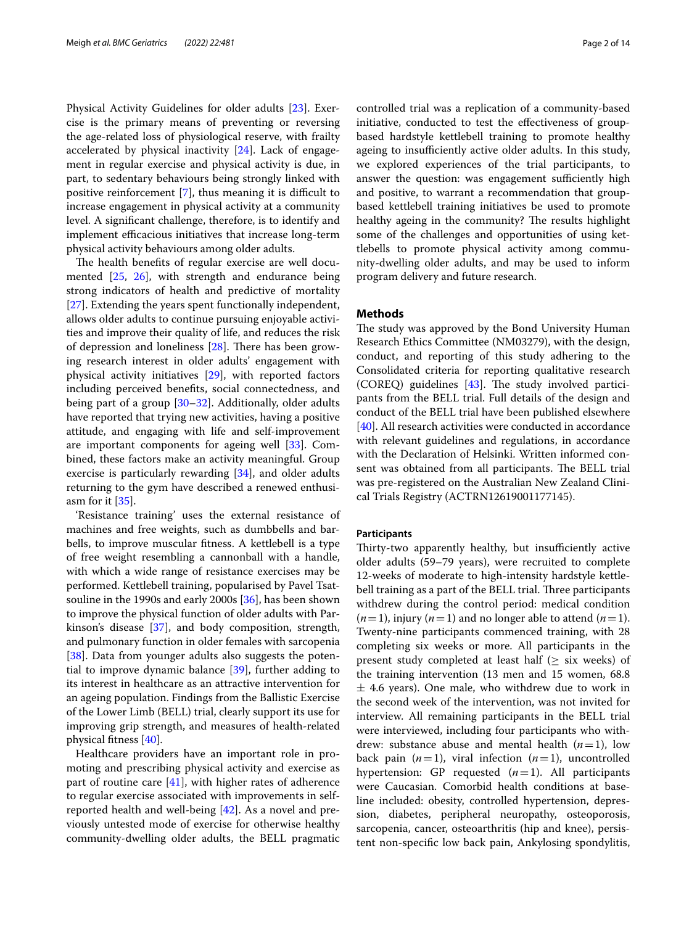Physical Activity Guidelines for older adults [[23\]](#page-11-10). Exercise is the primary means of preventing or reversing the age-related loss of physiological reserve, with frailty accelerated by physical inactivity [\[24](#page-11-11)]. Lack of engagement in regular exercise and physical activity is due, in part, to sedentary behaviours being strongly linked with positive reinforcement  $[7]$ , thus meaning it is difficult to increase engagement in physical activity at a community level. A signifcant challenge, therefore, is to identify and implement efficacious initiatives that increase long-term physical activity behaviours among older adults.

The health benefits of regular exercise are well documented [[25](#page-11-13), [26](#page-12-0)], with strength and endurance being strong indicators of health and predictive of mortality [[27\]](#page-12-1). Extending the years spent functionally independent, allows older adults to continue pursuing enjoyable activities and improve their quality of life, and reduces the risk of depression and loneliness  $[28]$  $[28]$ . There has been growing research interest in older adults' engagement with physical activity initiatives [\[29\]](#page-12-3), with reported factors including perceived benefts, social connectedness, and being part of a group [[30–](#page-12-4)[32](#page-12-5)]. Additionally, older adults have reported that trying new activities, having a positive attitude, and engaging with life and self-improvement are important components for ageing well [[33\]](#page-12-6). Combined, these factors make an activity meaningful. Group exercise is particularly rewarding [[34\]](#page-12-7), and older adults returning to the gym have described a renewed enthusiasm for it [\[35\]](#page-12-8).

'Resistance training' uses the external resistance of machines and free weights, such as dumbbells and barbells, to improve muscular ftness. A kettlebell is a type of free weight resembling a cannonball with a handle, with which a wide range of resistance exercises may be performed. Kettlebell training, popularised by Pavel Tsatsouline in the 1990s and early 2000s [\[36](#page-12-9)], has been shown to improve the physical function of older adults with Parkinson's disease [[37\]](#page-12-10), and body composition, strength, and pulmonary function in older females with sarcopenia [[38\]](#page-12-11). Data from younger adults also suggests the potential to improve dynamic balance [\[39](#page-12-12)], further adding to its interest in healthcare as an attractive intervention for an ageing population. Findings from the Ballistic Exercise of the Lower Limb (BELL) trial, clearly support its use for improving grip strength, and measures of health-related physical ftness [[40\]](#page-12-13).

Healthcare providers have an important role in promoting and prescribing physical activity and exercise as part of routine care  $[41]$  $[41]$ , with higher rates of adherence to regular exercise associated with improvements in selfreported health and well-being [[42\]](#page-12-15). As a novel and previously untested mode of exercise for otherwise healthy community-dwelling older adults, the BELL pragmatic controlled trial was a replication of a community-based initiative, conducted to test the efectiveness of groupbased hardstyle kettlebell training to promote healthy ageing to insufficiently active older adults. In this study, we explored experiences of the trial participants, to answer the question: was engagement sufficiently high and positive, to warrant a recommendation that groupbased kettlebell training initiatives be used to promote healthy ageing in the community? The results highlight some of the challenges and opportunities of using kettlebells to promote physical activity among community-dwelling older adults, and may be used to inform program delivery and future research.

# **Methods**

The study was approved by the Bond University Human Research Ethics Committee (NM03279), with the design, conduct, and reporting of this study adhering to the Consolidated criteria for reporting qualitative research (COREQ) guidelines  $[43]$ . The study involved participants from the BELL trial. Full details of the design and conduct of the BELL trial have been published elsewhere [[40\]](#page-12-13). All research activities were conducted in accordance with relevant guidelines and regulations, in accordance with the Declaration of Helsinki. Written informed consent was obtained from all participants. The BELL trial was pre-registered on the Australian New Zealand Clinical Trials Registry (ACTRN12619001177145).

# **Participants**

Thirty-two apparently healthy, but insufficiently active older adults (59–79 years), were recruited to complete 12-weeks of moderate to high-intensity hardstyle kettlebell training as a part of the BELL trial. Three participants withdrew during the control period: medical condition  $(n=1)$ , injury  $(n=1)$  and no longer able to attend  $(n=1)$ . Twenty-nine participants commenced training, with 28 completing six weeks or more. All participants in the present study completed at least half ( $\geq$  six weeks) of the training intervention (13 men and 15 women, 68.8  $\pm$  4.6 years). One male, who withdrew due to work in the second week of the intervention, was not invited for interview. All remaining participants in the BELL trial were interviewed, including four participants who withdrew: substance abuse and mental health  $(n=1)$ , low back pain  $(n=1)$ , viral infection  $(n=1)$ , uncontrolled hypertension: GP requested (*n*=1). All participants were Caucasian. Comorbid health conditions at baseline included: obesity, controlled hypertension, depression, diabetes, peripheral neuropathy, osteoporosis, sarcopenia, cancer, osteoarthritis (hip and knee), persistent non-specifc low back pain, Ankylosing spondylitis,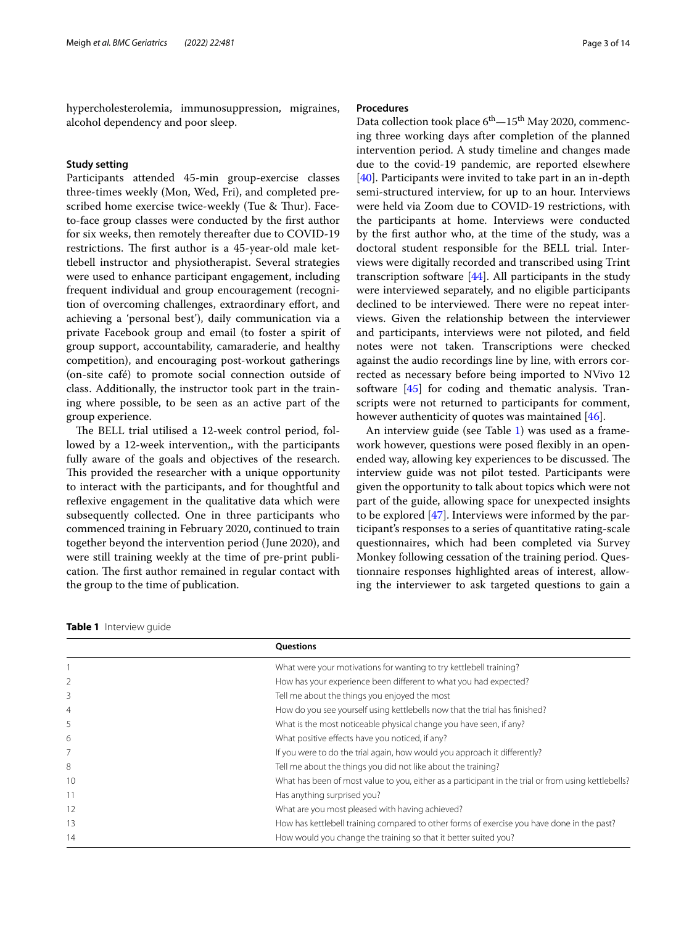hypercholesterolemia, immunosuppression, migraines, alcohol dependency and poor sleep.

# **Study setting**

Participants attended 45-min group-exercise classes three-times weekly (Mon, Wed, Fri), and completed prescribed home exercise twice-weekly (Tue & Thur). Faceto-face group classes were conducted by the frst author for six weeks, then remotely thereafter due to COVID-19 restrictions. The first author is a 45-year-old male kettlebell instructor and physiotherapist. Several strategies were used to enhance participant engagement, including frequent individual and group encouragement (recognition of overcoming challenges, extraordinary effort, and achieving a 'personal best'), daily communication via a private Facebook group and email (to foster a spirit of group support, accountability, camaraderie, and healthy competition), and encouraging post-workout gatherings (on-site café) to promote social connection outside of class. Additionally, the instructor took part in the training where possible, to be seen as an active part of the group experience.

The BELL trial utilised a 12-week control period, followed by a 12-week intervention,, with the participants fully aware of the goals and objectives of the research. This provided the researcher with a unique opportunity to interact with the participants, and for thoughtful and reflexive engagement in the qualitative data which were subsequently collected. One in three participants who commenced training in February 2020, continued to train together beyond the intervention period (June 2020), and were still training weekly at the time of pre-print publication. The first author remained in regular contact with the group to the time of publication.

# **Procedures**

Data collection took place  $6^{th}$   $-15^{th}$  May 2020, commencing three working days after completion of the planned intervention period. A study timeline and changes made due to the covid-19 pandemic, are reported elsewhere [[40\]](#page-12-13). Participants were invited to take part in an in-depth semi-structured interview, for up to an hour. Interviews were held via Zoom due to COVID-19 restrictions, with the participants at home. Interviews were conducted by the frst author who, at the time of the study, was a doctoral student responsible for the BELL trial. Interviews were digitally recorded and transcribed using Trint transcription software [[44\]](#page-12-17). All participants in the study were interviewed separately, and no eligible participants declined to be interviewed. There were no repeat interviews. Given the relationship between the interviewer and participants, interviews were not piloted, and feld notes were not taken. Transcriptions were checked against the audio recordings line by line, with errors corrected as necessary before being imported to NVivo 12 software [[45\]](#page-12-18) for coding and thematic analysis. Transcripts were not returned to participants for comment, however authenticity of quotes was maintained [[46](#page-12-19)].

An interview guide (see Table [1\)](#page-2-0) was used as a framework however, questions were posed flexibly in an openended way, allowing key experiences to be discussed. The interview guide was not pilot tested. Participants were given the opportunity to talk about topics which were not part of the guide, allowing space for unexpected insights to be explored [[47\]](#page-12-20). Interviews were informed by the participant's responses to a series of quantitative rating-scale questionnaires, which had been completed via Survey Monkey following cessation of the training period. Questionnaire responses highlighted areas of interest, allowing the interviewer to ask targeted questions to gain a

<span id="page-2-0"></span>

|  | <b>Table 1</b> Interview quide |  |
|--|--------------------------------|--|
|--|--------------------------------|--|

|    | Questions                                                                                           |  |
|----|-----------------------------------------------------------------------------------------------------|--|
|    | What were your motivations for wanting to try kettlebell training?                                  |  |
|    | How has your experience been different to what you had expected?                                    |  |
| 3  | Tell me about the things you enjoyed the most                                                       |  |
| 4  | How do you see yourself using kettlebells now that the trial has finished?                          |  |
| 5  | What is the most noticeable physical change you have seen, if any?                                  |  |
| 6  | What positive effects have you noticed, if any?                                                     |  |
|    | If you were to do the trial again, how would you approach it differently?                           |  |
| 8  | Tell me about the things you did not like about the training?                                       |  |
| 10 | What has been of most value to you, either as a participant in the trial or from using kettlebells? |  |
|    | Has anything surprised you?                                                                         |  |
| 12 | What are you most pleased with having achieved?                                                     |  |
| 13 | How has kettlebell training compared to other forms of exercise you have done in the past?          |  |
| 14 | How would you change the training so that it better suited you?                                     |  |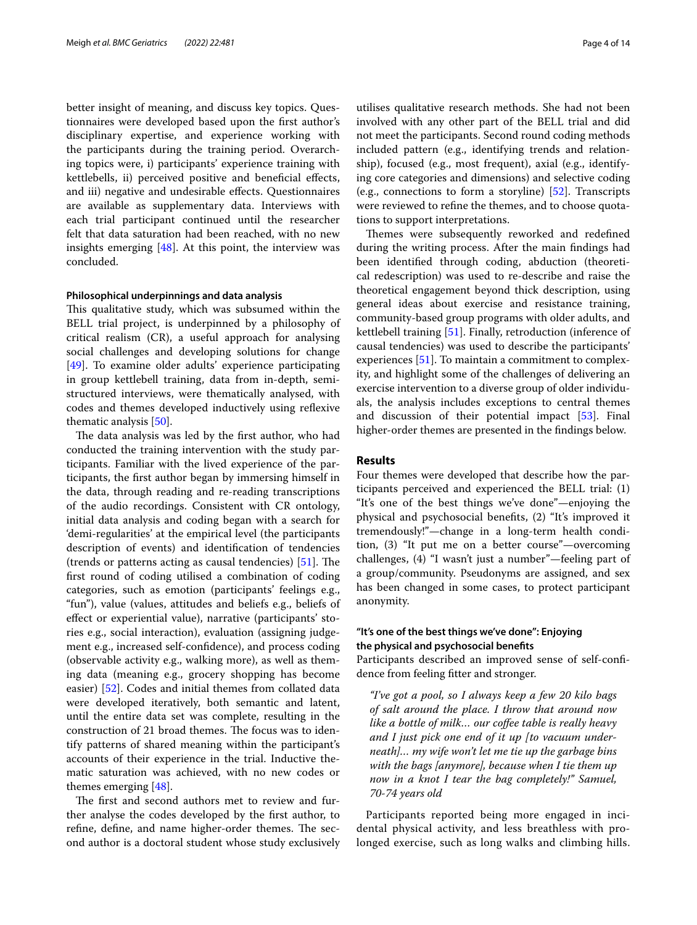better insight of meaning, and discuss key topics. Questionnaires were developed based upon the frst author's disciplinary expertise, and experience working with the participants during the training period. Overarching topics were, i) participants' experience training with kettlebells, ii) perceived positive and benefcial efects, and iii) negative and undesirable efects. Questionnaires are available as supplementary data. Interviews with each trial participant continued until the researcher felt that data saturation had been reached, with no new insights emerging  $[48]$  $[48]$ . At this point, the interview was concluded.

### **Philosophical underpinnings and data analysis**

This qualitative study, which was subsumed within the BELL trial project, is underpinned by a philosophy of critical realism (CR), a useful approach for analysing social challenges and developing solutions for change [[49\]](#page-12-22). To examine older adults' experience participating in group kettlebell training, data from in-depth, semistructured interviews, were thematically analysed, with codes and themes developed inductively using refexive thematic analysis [\[50](#page-12-23)].

The data analysis was led by the first author, who had conducted the training intervention with the study participants. Familiar with the lived experience of the participants, the frst author began by immersing himself in the data, through reading and re-reading transcriptions of the audio recordings. Consistent with CR ontology, initial data analysis and coding began with a search for 'demi-regularities' at the empirical level (the participants description of events) and identifcation of tendencies (trends or patterns acting as causal tendencies)  $[51]$ . The frst round of coding utilised a combination of coding categories, such as emotion (participants' feelings e.g., "fun"), value (values, attitudes and beliefs e.g., beliefs of efect or experiential value), narrative (participants' stories e.g., social interaction), evaluation (assigning judgement e.g., increased self-confdence), and process coding (observable activity e.g., walking more), as well as theming data (meaning e.g., grocery shopping has become easier) [[52\]](#page-12-25). Codes and initial themes from collated data were developed iteratively, both semantic and latent, until the entire data set was complete, resulting in the construction of 21 broad themes. The focus was to identify patterns of shared meaning within the participant's accounts of their experience in the trial. Inductive thematic saturation was achieved, with no new codes or themes emerging [\[48](#page-12-21)].

The first and second authors met to review and further analyse the codes developed by the frst author, to refine, define, and name higher-order themes. The second author is a doctoral student whose study exclusively

utilises qualitative research methods. She had not been involved with any other part of the BELL trial and did not meet the participants. Second round coding methods included pattern (e.g., identifying trends and relationship), focused (e.g., most frequent), axial (e.g., identifying core categories and dimensions) and selective coding (e.g., connections to form a storyline) [\[52](#page-12-25)]. Transcripts were reviewed to refne the themes, and to choose quotations to support interpretations.

Themes were subsequently reworked and redefined during the writing process. After the main fndings had been identifed through coding, abduction (theoretical redescription) was used to re-describe and raise the theoretical engagement beyond thick description, using general ideas about exercise and resistance training, community-based group programs with older adults, and kettlebell training [[51\]](#page-12-24). Finally, retroduction (inference of causal tendencies) was used to describe the participants' experiences [\[51](#page-12-24)]. To maintain a commitment to complexity, and highlight some of the challenges of delivering an exercise intervention to a diverse group of older individuals, the analysis includes exceptions to central themes and discussion of their potential impact [[53\]](#page-12-26). Final higher-order themes are presented in the fndings below.

### **Results**

Four themes were developed that describe how the participants perceived and experienced the BELL trial: (1) "It's one of the best things we've done"—enjoying the physical and psychosocial benefts, (2) "It's improved it tremendously!"—change in a long-term health condition, (3) "It put me on a better course"—overcoming challenges, (4) "I wasn't just a number"—feeling part of a group/community. Pseudonyms are assigned, and sex has been changed in some cases, to protect participant anonymity.

# **"It's one of the best things we've done": Enjoying the physical and psychosocial benefts**

Participants described an improved sense of self-confdence from feeling ftter and stronger.

*"I've got a pool, so I always keep a few 20 kilo bags of salt around the place. I throw that around now like a bottle of milk… our cofee table is really heavy and I just pick one end of it up [to vacuum underneath]… my wife won't let me tie up the garbage bins with the bags [anymore], because when I tie them up now in a knot I tear the bag completely!" Samuel, 70-74 years old*

Participants reported being more engaged in incidental physical activity, and less breathless with prolonged exercise, such as long walks and climbing hills.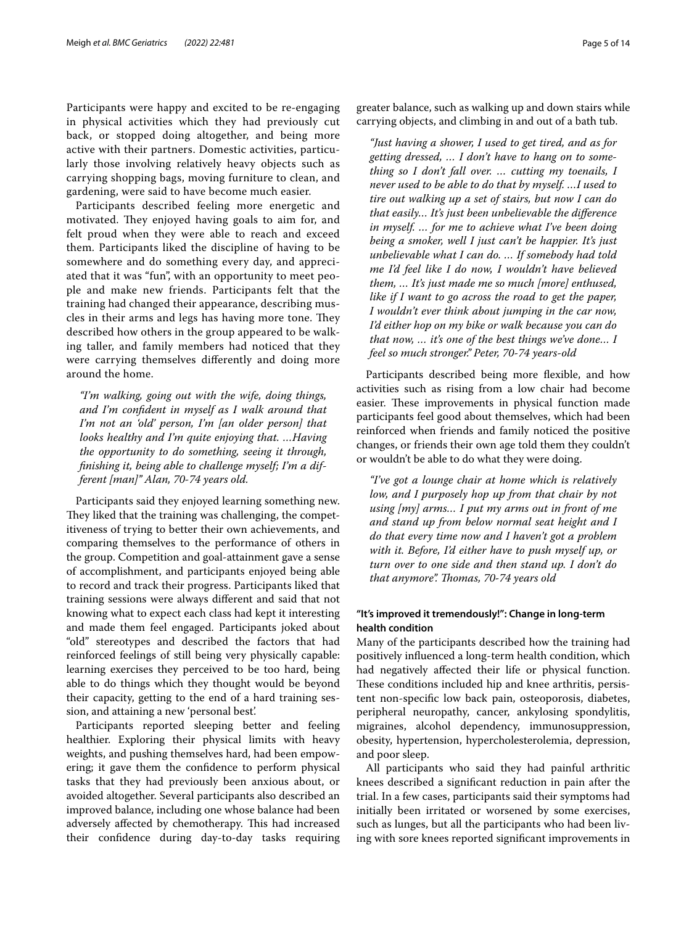Participants were happy and excited to be re-engaging in physical activities which they had previously cut back, or stopped doing altogether, and being more active with their partners. Domestic activities, particularly those involving relatively heavy objects such as carrying shopping bags, moving furniture to clean, and gardening, were said to have become much easier.

Participants described feeling more energetic and motivated. They enjoyed having goals to aim for, and felt proud when they were able to reach and exceed them. Participants liked the discipline of having to be somewhere and do something every day, and appreciated that it was "fun", with an opportunity to meet people and make new friends. Participants felt that the training had changed their appearance, describing muscles in their arms and legs has having more tone. They described how others in the group appeared to be walking taller, and family members had noticed that they were carrying themselves diferently and doing more around the home.

*"I'm walking, going out with the wife, doing things, and I'm confdent in myself as I walk around that I'm not an 'old' person, I'm [an older person] that looks healthy and I'm quite enjoying that. …Having the opportunity to do something, seeing it through, fnishing it, being able to challenge myself; I'm a different [man]" Alan, 70-74 years old.*

Participants said they enjoyed learning something new. They liked that the training was challenging, the competitiveness of trying to better their own achievements, and comparing themselves to the performance of others in the group. Competition and goal-attainment gave a sense of accomplishment, and participants enjoyed being able to record and track their progress. Participants liked that training sessions were always diferent and said that not knowing what to expect each class had kept it interesting and made them feel engaged. Participants joked about "old" stereotypes and described the factors that had reinforced feelings of still being very physically capable: learning exercises they perceived to be too hard, being able to do things which they thought would be beyond their capacity, getting to the end of a hard training session, and attaining a new 'personal best'.

Participants reported sleeping better and feeling healthier. Exploring their physical limits with heavy weights, and pushing themselves hard, had been empowering; it gave them the confdence to perform physical tasks that they had previously been anxious about, or avoided altogether. Several participants also described an improved balance, including one whose balance had been adversely affected by chemotherapy. This had increased their confdence during day-to-day tasks requiring greater balance, such as walking up and down stairs while carrying objects, and climbing in and out of a bath tub.

*"Just having a shower, I used to get tired, and as for getting dressed, … I don't have to hang on to something so I don't fall over. … cutting my toenails, I never used to be able to do that by myself. …I used to tire out walking up a set of stairs, but now I can do that easily… It's just been unbelievable the diference in myself. … for me to achieve what I've been doing being a smoker, well I just can't be happier. It's just unbelievable what I can do. … If somebody had told me I'd feel like I do now, I wouldn't have believed them, … It's just made me so much [more] enthused, like if I want to go across the road to get the paper, I wouldn't ever think about jumping in the car now, I'd either hop on my bike or walk because you can do that now, … it's one of the best things we've done… I feel so much stronger." Peter, 70-74 years-old*

Participants described being more fexible, and how activities such as rising from a low chair had become easier. These improvements in physical function made participants feel good about themselves, which had been reinforced when friends and family noticed the positive changes, or friends their own age told them they couldn't or wouldn't be able to do what they were doing.

*"I've got a lounge chair at home which is relatively low, and I purposely hop up from that chair by not using [my] arms… I put my arms out in front of me and stand up from below normal seat height and I do that every time now and I haven't got a problem with it. Before, I'd either have to push myself up, or turn over to one side and then stand up. I don't do that anymore". Thomas, 70-74 years old* 

# **"It's improved it tremendously!": Change in long‑term health condition**

Many of the participants described how the training had positively infuenced a long-term health condition, which had negatively afected their life or physical function. These conditions included hip and knee arthritis, persistent non-specifc low back pain, osteoporosis, diabetes, peripheral neuropathy, cancer, ankylosing spondylitis, migraines, alcohol dependency, immunosuppression, obesity, hypertension, hypercholesterolemia, depression, and poor sleep.

All participants who said they had painful arthritic knees described a signifcant reduction in pain after the trial. In a few cases, participants said their symptoms had initially been irritated or worsened by some exercises, such as lunges, but all the participants who had been living with sore knees reported signifcant improvements in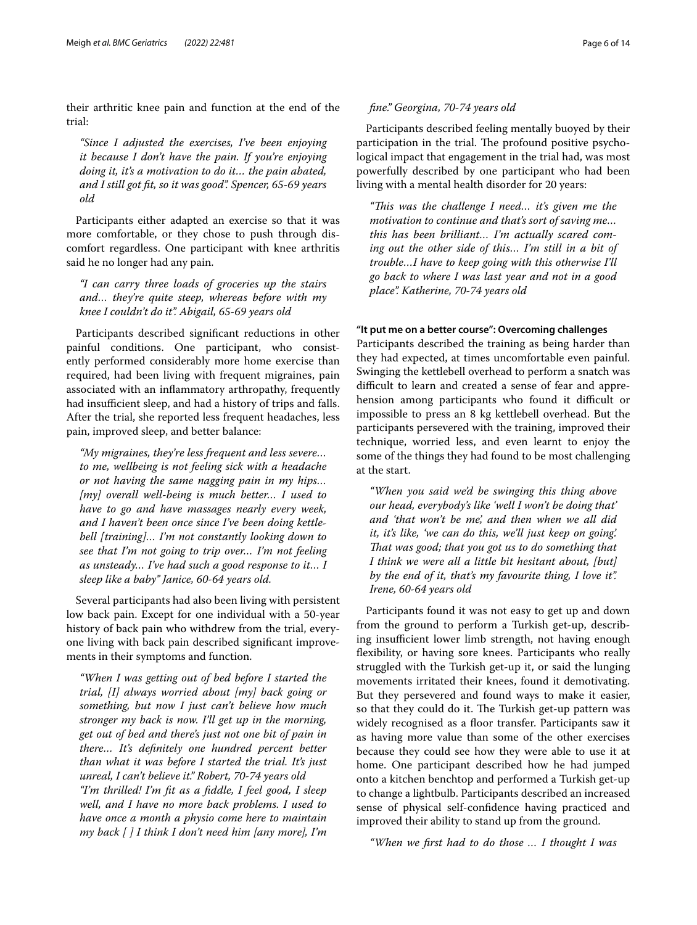their arthritic knee pain and function at the end of the trial:

*"Since I adjusted the exercises, I've been enjoying it because I don't have the pain. If you're enjoying doing it, it's a motivation to do it… the pain abated, and I still got ft, so it was good". Spencer, 65-69 years old*

Participants either adapted an exercise so that it was more comfortable, or they chose to push through discomfort regardless. One participant with knee arthritis said he no longer had any pain.

*"I can carry three loads of groceries up the stairs and… they're quite steep, whereas before with my knee I couldn't do it". Abigail, 65-69 years old*

Participants described signifcant reductions in other painful conditions. One participant, who consistently performed considerably more home exercise than required, had been living with frequent migraines, pain associated with an infammatory arthropathy, frequently had insufficient sleep, and had a history of trips and falls. After the trial, she reported less frequent headaches, less pain, improved sleep, and better balance:

*"My migraines, they're less frequent and less severe… to me, wellbeing is not feeling sick with a headache or not having the same nagging pain in my hips… [my] overall well-being is much better… I used to have to go and have massages nearly every week, and I haven't been once since I've been doing kettlebell [training]… I'm not constantly looking down to see that I'm not going to trip over… I'm not feeling as unsteady… I've had such a good response to it… I sleep like a baby" Janice, 60-64 years old.*

Several participants had also been living with persistent low back pain. Except for one individual with a 50-year history of back pain who withdrew from the trial, everyone living with back pain described signifcant improvements in their symptoms and function.

*"When I was getting out of bed before I started the trial, [I] always worried about [my] back going or something, but now I just can't believe how much stronger my back is now. I'll get up in the morning, get out of bed and there's just not one bit of pain in there… It's defnitely one hundred percent better than what it was before I started the trial. It's just unreal, I can't believe it." Robert, 70-74 years old "I'm thrilled! I'm ft as a fddle, I feel good, I sleep well, and I have no more back problems. I used to have once a month a physio come here to maintain my back [ ] I think I don't need him [any more], I'm* 

# *fne." Georgina, 70-74 years old*

Participants described feeling mentally buoyed by their participation in the trial. The profound positive psychological impact that engagement in the trial had, was most powerfully described by one participant who had been living with a mental health disorder for 20 years:

*"Tis was the challenge I need… it's given me the motivation to continue and that's sort of saving me… this has been brilliant… I'm actually scared coming out the other side of this… I'm still in a bit of trouble…I have to keep going with this otherwise I'll go back to where I was last year and not in a good place". Katherine, 70-74 years old*

# **"It put me on a better course": Overcoming challenges**

Participants described the training as being harder than they had expected, at times uncomfortable even painful. Swinging the kettlebell overhead to perform a snatch was difficult to learn and created a sense of fear and apprehension among participants who found it difficult or impossible to press an 8 kg kettlebell overhead. But the participants persevered with the training, improved their technique, worried less, and even learnt to enjoy the some of the things they had found to be most challenging at the start.

*"When you said we'd be swinging this thing above our head, everybody's like 'well I won't be doing that' and 'that won't be me', and then when we all did it, it's like, 'we can do this, we'll just keep on going'. Tat was good; that you got us to do something that I think we were all a little bit hesitant about, [but] by the end of it, that's my favourite thing, I love it". Irene, 60-64 years old*

Participants found it was not easy to get up and down from the ground to perform a Turkish get-up, describing insufficient lower limb strength, not having enough fexibility, or having sore knees. Participants who really struggled with the Turkish get-up it, or said the lunging movements irritated their knees, found it demotivating. But they persevered and found ways to make it easier, so that they could do it. The Turkish get-up pattern was widely recognised as a floor transfer. Participants saw it as having more value than some of the other exercises because they could see how they were able to use it at home. One participant described how he had jumped onto a kitchen benchtop and performed a Turkish get-up to change a lightbulb. Participants described an increased sense of physical self-confdence having practiced and improved their ability to stand up from the ground.

*"When we frst had to do those … I thought I was*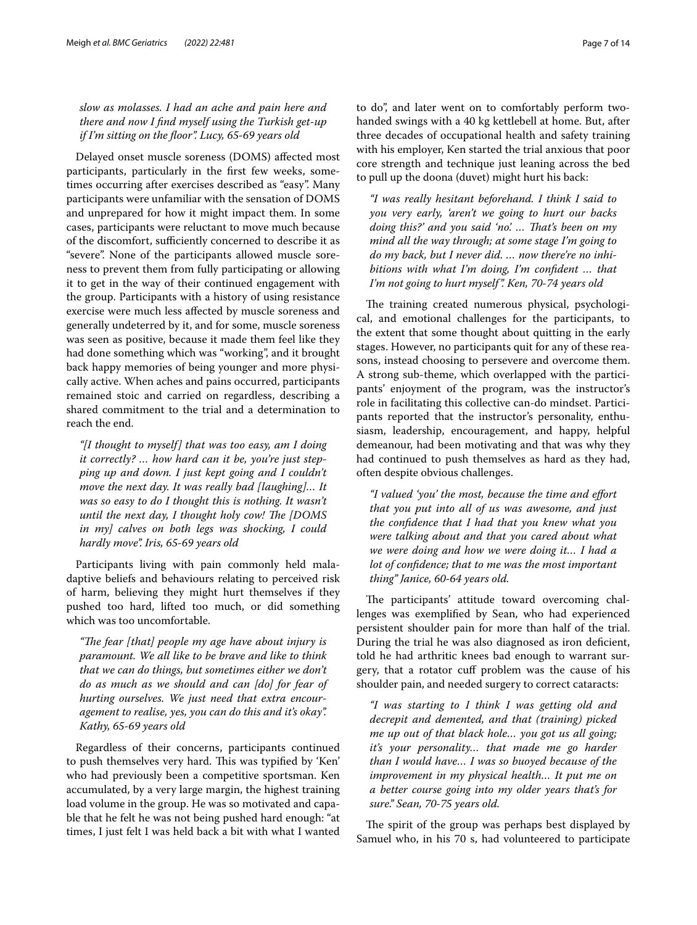*slow as molasses. I had an ache and pain here and there and now I fnd myself using the Turkish get-up if I'm sitting on the foor". Lucy, 65-69 years old*

Delayed onset muscle soreness (DOMS) afected most participants, particularly in the frst few weeks, sometimes occurring after exercises described as "easy". Many participants were unfamiliar with the sensation of DOMS and unprepared for how it might impact them. In some cases, participants were reluctant to move much because of the discomfort, sufficiently concerned to describe it as "severe". None of the participants allowed muscle soreness to prevent them from fully participating or allowing it to get in the way of their continued engagement with the group. Participants with a history of using resistance exercise were much less afected by muscle soreness and generally undeterred by it, and for some, muscle soreness was seen as positive, because it made them feel like they had done something which was "working", and it brought back happy memories of being younger and more physically active. When aches and pains occurred, participants remained stoic and carried on regardless, describing a shared commitment to the trial and a determination to reach the end.

*"[I thought to myself] that was too easy, am I doing it correctly? … how hard can it be, you're just stepping up and down. I just kept going and I couldn't move the next day. It was really bad [laughing]… It was so easy to do I thought this is nothing. It wasn't until the next day, I thought holy cow! The [DOMS in my] calves on both legs was shocking, I could hardly move". Iris, 65-69 years old*

Participants living with pain commonly held maladaptive beliefs and behaviours relating to perceived risk of harm, believing they might hurt themselves if they pushed too hard, lifted too much, or did something which was too uncomfortable.

"The fear [that] people my age have about injury is *paramount. We all like to be brave and like to think that we can do things, but sometimes either we don't do as much as we should and can [do] for fear of hurting ourselves. We just need that extra encouragement to realise, yes, you can do this and it's okay". Kathy, 65-69 years old*

Regardless of their concerns, participants continued to push themselves very hard. This was typified by 'Ken' who had previously been a competitive sportsman. Ken accumulated, by a very large margin, the highest training load volume in the group. He was so motivated and capable that he felt he was not being pushed hard enough: "at times, I just felt I was held back a bit with what I wanted to do", and later went on to comfortably perform twohanded swings with a 40 kg kettlebell at home. But, after three decades of occupational health and safety training with his employer, Ken started the trial anxious that poor core strength and technique just leaning across the bed to pull up the doona (duvet) might hurt his back:

*"I was really hesitant beforehand. I think I said to you very early, 'aren't we going to hurt our backs doing this?' and you said 'no'. … Tat's been on my mind all the way through; at some stage I'm going to do my back, but I never did. … now there're no inhibitions with what I'm doing, I'm confdent … that I'm not going to hurt myself". Ken, 70-74 years old*

The training created numerous physical, psychological, and emotional challenges for the participants, to the extent that some thought about quitting in the early stages. However, no participants quit for any of these reasons, instead choosing to persevere and overcome them. A strong sub-theme, which overlapped with the participants' enjoyment of the program, was the instructor's role in facilitating this collective can-do mindset. Participants reported that the instructor's personality, enthusiasm, leadership, encouragement, and happy, helpful demeanour, had been motivating and that was why they had continued to push themselves as hard as they had, often despite obvious challenges.

*"I valued 'you' the most, because the time and efort that you put into all of us was awesome, and just the confdence that I had that you knew what you were talking about and that you cared about what we were doing and how we were doing it… I had a lot of confdence; that to me was the most important thing" Janice, 60-64 years old.*

The participants' attitude toward overcoming challenges was exemplifed by Sean, who had experienced persistent shoulder pain for more than half of the trial. During the trial he was also diagnosed as iron deficient, told he had arthritic knees bad enough to warrant surgery, that a rotator cuf problem was the cause of his shoulder pain, and needed surgery to correct cataracts:

*"I was starting to I think I was getting old and decrepit and demented, and that (training) picked me up out of that black hole… you got us all going; it's your personality… that made me go harder than I would have… I was so buoyed because of the improvement in my physical health… It put me on a better course going into my older years that's for sure." Sean, 70-75 years old.*

The spirit of the group was perhaps best displayed by Samuel who, in his 70 s, had volunteered to participate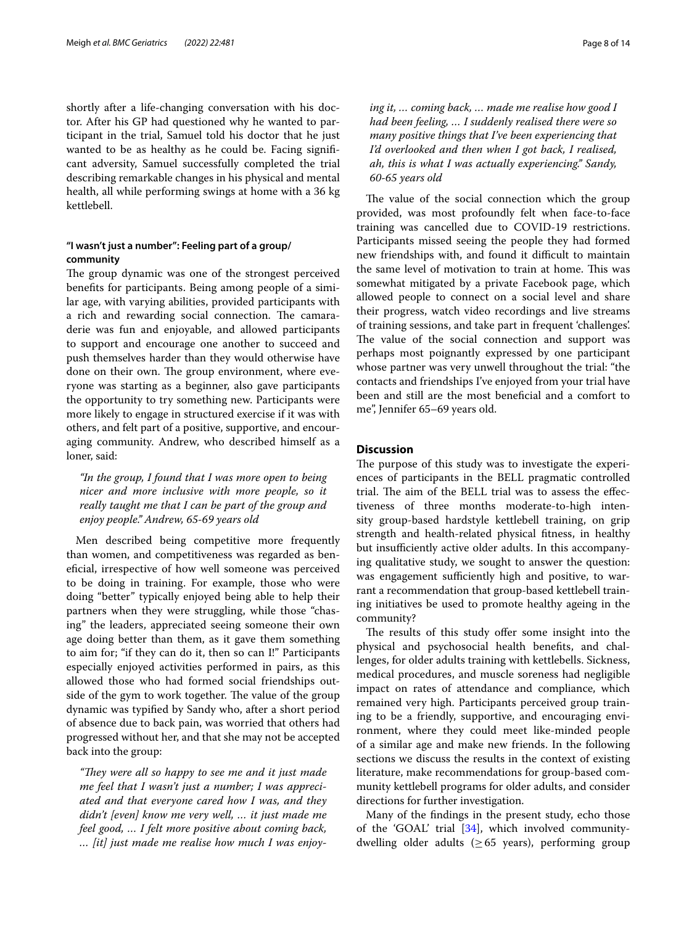shortly after a life-changing conversation with his doctor. After his GP had questioned why he wanted to participant in the trial, Samuel told his doctor that he just wanted to be as healthy as he could be. Facing signifcant adversity, Samuel successfully completed the trial describing remarkable changes in his physical and mental health, all while performing swings at home with a 36 kg kettlebell.

# **"I wasn't just a number": Feeling part of a group/ community**

The group dynamic was one of the strongest perceived benefts for participants. Being among people of a similar age, with varying abilities, provided participants with a rich and rewarding social connection. The camaraderie was fun and enjoyable, and allowed participants to support and encourage one another to succeed and push themselves harder than they would otherwise have done on their own. The group environment, where everyone was starting as a beginner, also gave participants the opportunity to try something new. Participants were more likely to engage in structured exercise if it was with others, and felt part of a positive, supportive, and encouraging community. Andrew, who described himself as a loner, said:

*"In the group, I found that I was more open to being nicer and more inclusive with more people, so it really taught me that I can be part of the group and enjoy people." Andrew, 65-69 years old*

Men described being competitive more frequently than women, and competitiveness was regarded as benefcial, irrespective of how well someone was perceived to be doing in training. For example, those who were doing "better" typically enjoyed being able to help their partners when they were struggling, while those "chasing" the leaders, appreciated seeing someone their own age doing better than them, as it gave them something to aim for; "if they can do it, then so can I!" Participants especially enjoyed activities performed in pairs, as this allowed those who had formed social friendships outside of the gym to work together. The value of the group dynamic was typifed by Sandy who, after a short period of absence due to back pain, was worried that others had progressed without her, and that she may not be accepted back into the group:

*"They were all so happy to see me and it just made me feel that I wasn't just a number; I was appreciated and that everyone cared how I was, and they didn't [even] know me very well, … it just made me feel good, … I felt more positive about coming back, … [it] just made me realise how much I was enjoy-* *ing it, … coming back, … made me realise how good I had been feeling, … I suddenly realised there were so many positive things that I've been experiencing that I'd overlooked and then when I got back, I realised, ah, this is what I was actually experiencing." Sandy, 60-65 years old*

The value of the social connection which the group provided, was most profoundly felt when face-to-face training was cancelled due to COVID-19 restrictions. Participants missed seeing the people they had formed new friendships with, and found it difficult to maintain the same level of motivation to train at home. This was somewhat mitigated by a private Facebook page, which allowed people to connect on a social level and share their progress, watch video recordings and live streams of training sessions, and take part in frequent 'challenges'. The value of the social connection and support was perhaps most poignantly expressed by one participant whose partner was very unwell throughout the trial: "the contacts and friendships I've enjoyed from your trial have been and still are the most benefcial and a comfort to me", Jennifer 65–69 years old.

# **Discussion**

The purpose of this study was to investigate the experiences of participants in the BELL pragmatic controlled trial. The aim of the BELL trial was to assess the effectiveness of three months moderate-to-high intensity group-based hardstyle kettlebell training, on grip strength and health-related physical ftness, in healthy but insufficiently active older adults. In this accompanying qualitative study, we sought to answer the question: was engagement sufficiently high and positive, to warrant a recommendation that group-based kettlebell training initiatives be used to promote healthy ageing in the community?

The results of this study offer some insight into the physical and psychosocial health benefts, and challenges, for older adults training with kettlebells. Sickness, medical procedures, and muscle soreness had negligible impact on rates of attendance and compliance, which remained very high. Participants perceived group training to be a friendly, supportive, and encouraging environment, where they could meet like-minded people of a similar age and make new friends. In the following sections we discuss the results in the context of existing literature, make recommendations for group-based community kettlebell programs for older adults, and consider directions for further investigation.

Many of the fndings in the present study, echo those of the 'GOAL' trial [\[34](#page-12-7)], which involved communitydwelling older adults ( $\geq 65$  years), performing group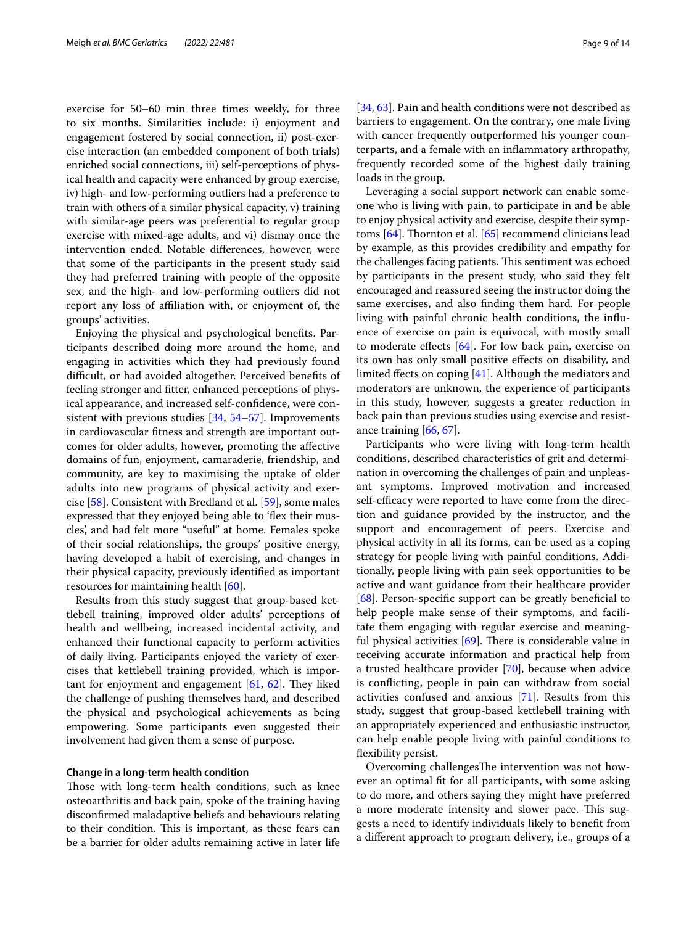exercise for 50–60 min three times weekly, for three to six months. Similarities include: i) enjoyment and engagement fostered by social connection, ii) post-exercise interaction (an embedded component of both trials) enriched social connections, iii) self-perceptions of physical health and capacity were enhanced by group exercise, iv) high- and low-performing outliers had a preference to train with others of a similar physical capacity, v) training with similar-age peers was preferential to regular group exercise with mixed-age adults, and vi) dismay once the intervention ended. Notable diferences, however, were that some of the participants in the present study said they had preferred training with people of the opposite sex, and the high- and low-performing outliers did not report any loss of afliation with, or enjoyment of, the groups' activities.

Enjoying the physical and psychological benefts. Participants described doing more around the home, and engaging in activities which they had previously found difficult, or had avoided altogether. Perceived benefits of feeling stronger and ftter, enhanced perceptions of physical appearance, and increased self-confdence, were consistent with previous studies [\[34](#page-12-7), [54](#page-12-27)[–57](#page-12-28)]. Improvements in cardiovascular ftness and strength are important outcomes for older adults, however, promoting the afective domains of fun, enjoyment, camaraderie, friendship, and community, are key to maximising the uptake of older adults into new programs of physical activity and exercise [[58](#page-12-29)]. Consistent with Bredland et al. [[59](#page-12-30)], some males expressed that they enjoyed being able to 'fex their muscles', and had felt more "useful" at home. Females spoke of their social relationships, the groups' positive energy, having developed a habit of exercising, and changes in their physical capacity, previously identifed as important resources for maintaining health [[60\]](#page-12-31).

Results from this study suggest that group-based kettlebell training, improved older adults' perceptions of health and wellbeing, increased incidental activity, and enhanced their functional capacity to perform activities of daily living. Participants enjoyed the variety of exercises that kettlebell training provided, which is important for enjoyment and engagement  $[61, 62]$  $[61, 62]$  $[61, 62]$  $[61, 62]$ . They liked the challenge of pushing themselves hard, and described the physical and psychological achievements as being empowering. Some participants even suggested their involvement had given them a sense of purpose.

### **Change in a long‑term health condition**

Those with long-term health conditions, such as knee osteoarthritis and back pain, spoke of the training having disconfrmed maladaptive beliefs and behaviours relating to their condition. This is important, as these fears can be a barrier for older adults remaining active in later life [[34,](#page-12-7) [63](#page-12-34)]. Pain and health conditions were not described as barriers to engagement. On the contrary, one male living with cancer frequently outperformed his younger counterparts, and a female with an infammatory arthropathy, frequently recorded some of the highest daily training loads in the group.

Leveraging a social support network can enable someone who is living with pain, to participate in and be able to enjoy physical activity and exercise, despite their symptoms  $[64]$  $[64]$  $[64]$ . Thornton et al.  $[65]$  recommend clinicians lead by example, as this provides credibility and empathy for the challenges facing patients. This sentiment was echoed by participants in the present study, who said they felt encouraged and reassured seeing the instructor doing the same exercises, and also fnding them hard. For people living with painful chronic health conditions, the infuence of exercise on pain is equivocal, with mostly small to moderate efects [[64\]](#page-12-35). For low back pain, exercise on its own has only small positive efects on disability, and limited fects on coping [\[41](#page-12-14)]. Although the mediators and moderators are unknown, the experience of participants in this study, however, suggests a greater reduction in back pain than previous studies using exercise and resistance training [[66](#page-12-37), [67\]](#page-12-38).

Participants who were living with long-term health conditions, described characteristics of grit and determination in overcoming the challenges of pain and unpleasant symptoms. Improved motivation and increased self-efficacy were reported to have come from the direction and guidance provided by the instructor, and the support and encouragement of peers. Exercise and physical activity in all its forms, can be used as a coping strategy for people living with painful conditions. Additionally, people living with pain seek opportunities to be active and want guidance from their healthcare provider [[68\]](#page-12-39). Person-specific support can be greatly beneficial to help people make sense of their symptoms, and facilitate them engaging with regular exercise and meaningful physical activities  $[69]$  $[69]$ . There is considerable value in receiving accurate information and practical help from a trusted healthcare provider [[70\]](#page-12-41), because when advice is conficting, people in pain can withdraw from social activities confused and anxious [[71](#page-12-42)]. Results from this study, suggest that group-based kettlebell training with an appropriately experienced and enthusiastic instructor, can help enable people living with painful conditions to fexibility persist.

Overcoming challengesThe intervention was not however an optimal ft for all participants, with some asking to do more, and others saying they might have preferred a more moderate intensity and slower pace. This suggests a need to identify individuals likely to beneft from a diferent approach to program delivery, i.e., groups of a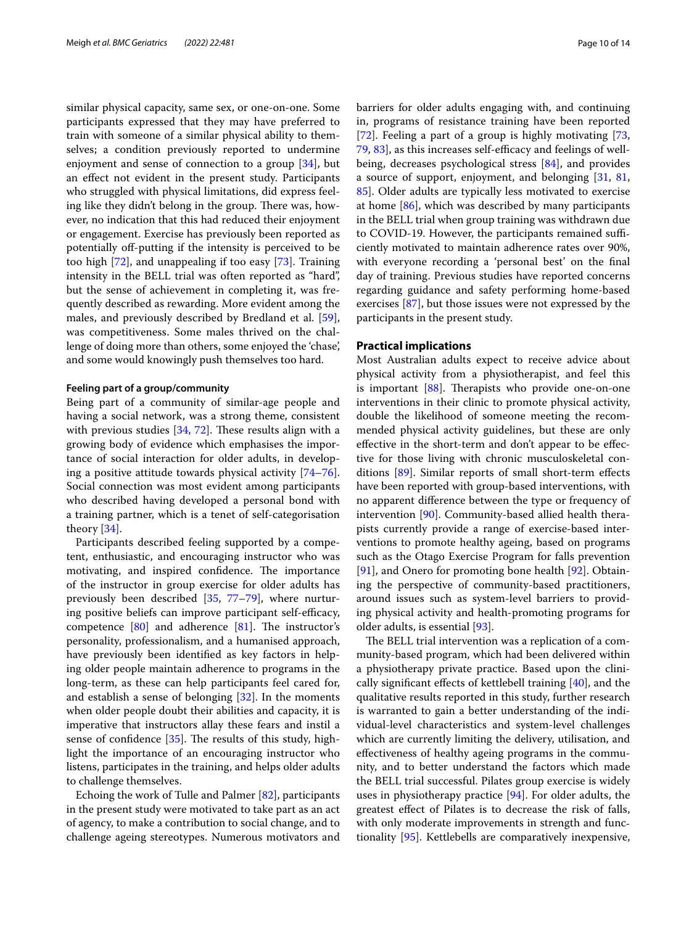similar physical capacity, same sex, or one-on-one. Some participants expressed that they may have preferred to train with someone of a similar physical ability to themselves; a condition previously reported to undermine enjoyment and sense of connection to a group [\[34](#page-12-7)], but an efect not evident in the present study. Participants who struggled with physical limitations, did express feeling like they didn't belong in the group. There was, however, no indication that this had reduced their enjoyment or engagement. Exercise has previously been reported as potentially off-putting if the intensity is perceived to be too high [[72\]](#page-12-43), and unappealing if too easy [\[73](#page-12-44)]. Training intensity in the BELL trial was often reported as "hard", but the sense of achievement in completing it, was frequently described as rewarding. More evident among the males, and previously described by Bredland et al. [\[59](#page-12-30)], was competitiveness. Some males thrived on the challenge of doing more than others, some enjoyed the 'chase', and some would knowingly push themselves too hard.

### **Feeling part of a group/community**

Being part of a community of similar-age people and having a social network, was a strong theme, consistent with previous studies  $[34, 72]$  $[34, 72]$  $[34, 72]$  $[34, 72]$ . These results align with a growing body of evidence which emphasises the importance of social interaction for older adults, in developing a positive attitude towards physical activity [[74](#page-13-0)[–76](#page-13-1)]. Social connection was most evident among participants who described having developed a personal bond with a training partner, which is a tenet of self-categorisation theory [\[34\]](#page-12-7).

Participants described feeling supported by a competent, enthusiastic, and encouraging instructor who was motivating, and inspired confidence. The importance of the instructor in group exercise for older adults has previously been described [[35,](#page-12-8) [77](#page-13-2)–[79\]](#page-13-3), where nurturing positive beliefs can improve participant self-efficacy, competence  $[80]$  $[80]$  and adherence  $[81]$  $[81]$ . The instructor's personality, professionalism, and a humanised approach, have previously been identifed as key factors in helping older people maintain adherence to programs in the long-term, as these can help participants feel cared for, and establish a sense of belonging [\[32](#page-12-5)]. In the moments when older people doubt their abilities and capacity, it is imperative that instructors allay these fears and instil a sense of confidence  $[35]$  $[35]$ . The results of this study, highlight the importance of an encouraging instructor who listens, participates in the training, and helps older adults to challenge themselves.

Echoing the work of Tulle and Palmer [[82\]](#page-13-6), participants in the present study were motivated to take part as an act of agency, to make a contribution to social change, and to challenge ageing stereotypes. Numerous motivators and barriers for older adults engaging with, and continuing in, programs of resistance training have been reported [[72\]](#page-12-43). Feeling a part of a group is highly motivating [[73](#page-12-44), [79,](#page-13-3) [83](#page-13-7)], as this increases self-efficacy and feelings of wellbeing, decreases psychological stress [[84](#page-13-8)], and provides a source of support, enjoyment, and belonging [[31](#page-12-45), [81](#page-13-5), [85\]](#page-13-9). Older adults are typically less motivated to exercise at home [[86](#page-13-10)], which was described by many participants in the BELL trial when group training was withdrawn due to COVID-19. However, the participants remained sufficiently motivated to maintain adherence rates over 90%, with everyone recording a 'personal best' on the fnal day of training. Previous studies have reported concerns regarding guidance and safety performing home-based exercises [[87\]](#page-13-11), but those issues were not expressed by the participants in the present study.

# **Practical implications**

Most Australian adults expect to receive advice about physical activity from a physiotherapist, and feel this is important  $[88]$  $[88]$ . Therapists who provide one-on-one interventions in their clinic to promote physical activity, double the likelihood of someone meeting the recommended physical activity guidelines, but these are only efective in the short-term and don't appear to be efective for those living with chronic musculoskeletal conditions [\[89\]](#page-13-13). Similar reports of small short-term efects have been reported with group-based interventions, with no apparent diference between the type or frequency of intervention [[90](#page-13-14)]. Community-based allied health therapists currently provide a range of exercise-based interventions to promote healthy ageing, based on programs such as the Otago Exercise Program for falls prevention [[91\]](#page-13-15), and Onero for promoting bone health [\[92](#page-13-16)]. Obtaining the perspective of community-based practitioners, around issues such as system-level barriers to providing physical activity and health-promoting programs for older adults, is essential [\[93\]](#page-13-17).

The BELL trial intervention was a replication of a community-based program, which had been delivered within a physiotherapy private practice. Based upon the clinically significant effects of kettlebell training  $[40]$  $[40]$  $[40]$ , and the qualitative results reported in this study, further research is warranted to gain a better understanding of the individual-level characteristics and system-level challenges which are currently limiting the delivery, utilisation, and efectiveness of healthy ageing programs in the community, and to better understand the factors which made the BELL trial successful. Pilates group exercise is widely uses in physiotherapy practice [[94\]](#page-13-18). For older adults, the greatest efect of Pilates is to decrease the risk of falls, with only moderate improvements in strength and functionality [\[95](#page-13-19)]. Kettlebells are comparatively inexpensive,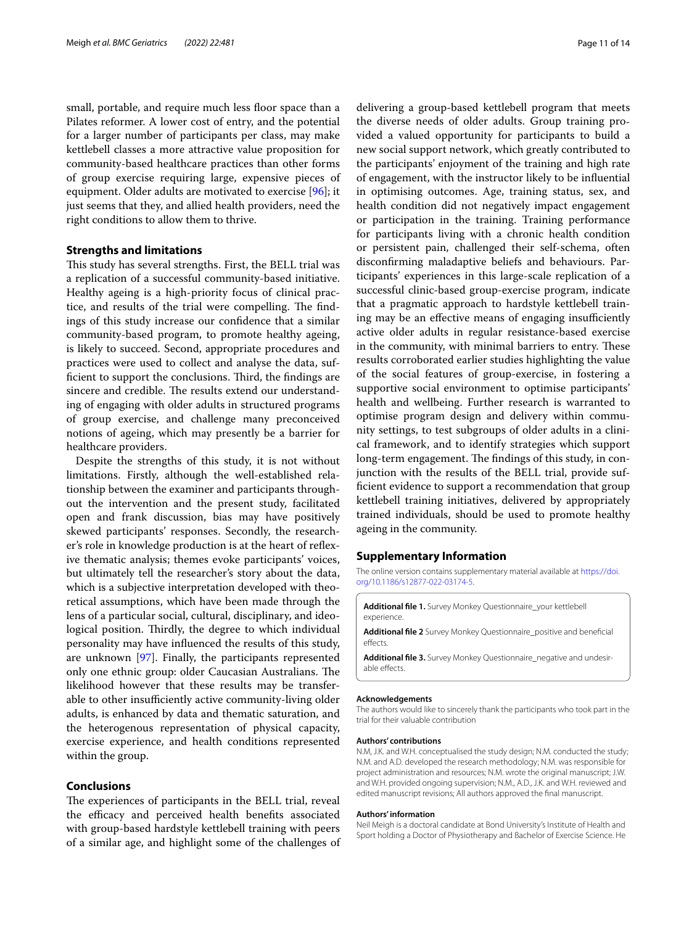small, portable, and require much less floor space than a Pilates reformer. A lower cost of entry, and the potential for a larger number of participants per class, may make kettlebell classes a more attractive value proposition for community-based healthcare practices than other forms of group exercise requiring large, expensive pieces of equipment. Older adults are motivated to exercise [\[96\]](#page-13-20); it just seems that they, and allied health providers, need the right conditions to allow them to thrive.

# **Strengths and limitations**

This study has several strengths. First, the BELL trial was a replication of a successful community-based initiative. Healthy ageing is a high-priority focus of clinical practice, and results of the trial were compelling. The findings of this study increase our confdence that a similar community-based program, to promote healthy ageing, is likely to succeed. Second, appropriate procedures and practices were used to collect and analyse the data, sufficient to support the conclusions. Third, the findings are sincere and credible. The results extend our understanding of engaging with older adults in structured programs of group exercise, and challenge many preconceived notions of ageing, which may presently be a barrier for healthcare providers.

Despite the strengths of this study, it is not without limitations. Firstly, although the well-established relationship between the examiner and participants throughout the intervention and the present study, facilitated open and frank discussion, bias may have positively skewed participants' responses. Secondly, the researcher's role in knowledge production is at the heart of refexive thematic analysis; themes evoke participants' voices, but ultimately tell the researcher's story about the data, which is a subjective interpretation developed with theoretical assumptions, which have been made through the lens of a particular social, cultural, disciplinary, and ideological position. Thirdly, the degree to which individual personality may have infuenced the results of this study, are unknown [[97](#page-13-21)]. Finally, the participants represented only one ethnic group: older Caucasian Australians. The likelihood however that these results may be transferable to other insufficiently active community-living older adults, is enhanced by data and thematic saturation, and the heterogenous representation of physical capacity, exercise experience, and health conditions represented within the group.

# **Conclusions**

The experiences of participants in the BELL trial, reveal the efficacy and perceived health benefits associated with group-based hardstyle kettlebell training with peers of a similar age, and highlight some of the challenges of

delivering a group-based kettlebell program that meets the diverse needs of older adults. Group training provided a valued opportunity for participants to build a new social support network, which greatly contributed to the participants' enjoyment of the training and high rate of engagement, with the instructor likely to be infuential in optimising outcomes. Age, training status, sex, and health condition did not negatively impact engagement or participation in the training. Training performance for participants living with a chronic health condition or persistent pain, challenged their self-schema, often disconfrming maladaptive beliefs and behaviours. Participants' experiences in this large-scale replication of a successful clinic-based group-exercise program, indicate that a pragmatic approach to hardstyle kettlebell training may be an effective means of engaging insufficiently active older adults in regular resistance-based exercise in the community, with minimal barriers to entry. These results corroborated earlier studies highlighting the value of the social features of group-exercise, in fostering a supportive social environment to optimise participants' health and wellbeing. Further research is warranted to optimise program design and delivery within community settings, to test subgroups of older adults in a clinical framework, and to identify strategies which support long-term engagement. The findings of this study, in conjunction with the results of the BELL trial, provide suffcient evidence to support a recommendation that group kettlebell training initiatives, delivered by appropriately trained individuals, should be used to promote healthy ageing in the community.

### **Supplementary Information**

The online version contains supplementary material available at [https://doi.](https://doi.org/10.1186/s12877-022-03174-5) [org/10.1186/s12877-022-03174-5](https://doi.org/10.1186/s12877-022-03174-5).

**Additional fle 1.** Survey Monkey Questionnaire\_your kettlebell experience

**Additional fle 2** Survey Monkey Questionnaire\_positive and benefcial effects

**Additional fle 3.** Survey Monkey Questionnaire\_negative and undesirable efects.

#### **Acknowledgements**

The authors would like to sincerely thank the participants who took part in the trial for their valuable contribution

#### **Authors' contributions**

N.M, J.K. and W.H. conceptualised the study design; N.M. conducted the study; N.M. and A.D. developed the research methodology; N.M. was responsible for project administration and resources; N.M. wrote the original manuscript; J.W. and W.H. provided ongoing supervision; N.M., A.D., J.K. and W.H. reviewed and edited manuscript revisions; All authors approved the fnal manuscript.

#### **Authors' information**

Neil Meigh is a doctoral candidate at Bond University's Institute of Health and Sport holding a Doctor of Physiotherapy and Bachelor of Exercise Science. He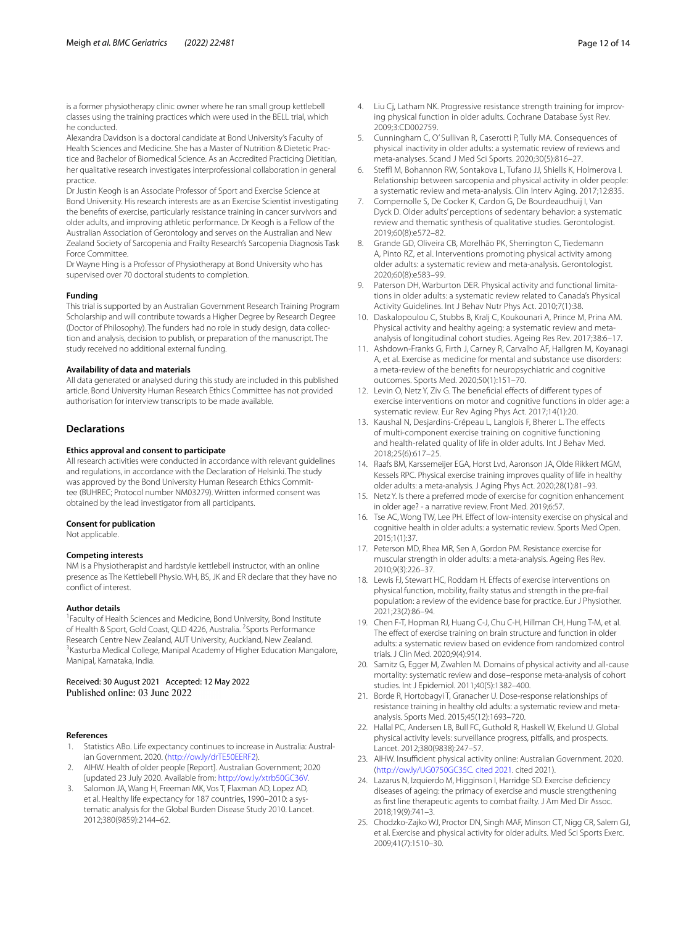is a former physiotherapy clinic owner where he ran small group kettlebell classes using the training practices which were used in the BELL trial, which he conducted.

Alexandra Davidson is a doctoral candidate at Bond University's Faculty of Health Sciences and Medicine. She has a Master of Nutrition & Dietetic Practice and Bachelor of Biomedical Science. As an Accredited Practicing Dietitian, her qualitative research investigates interprofessional collaboration in general practice.

Dr Justin Keogh is an Associate Professor of Sport and Exercise Science at Bond University. His research interests are as an Exercise Scientist investigating the benefts of exercise, particularly resistance training in cancer survivors and older adults, and improving athletic performance. Dr Keogh is a Fellow of the Australian Association of Gerontology and serves on the Australian and New Zealand Society of Sarcopenia and Frailty Research's Sarcopenia Diagnosis Task Force Committee.

Dr Wayne Hing is a Professor of Physiotherapy at Bond University who has supervised over 70 doctoral students to completion.

#### **Funding**

This trial is supported by an Australian Government Research Training Program Scholarship and will contribute towards a Higher Degree by Research Degree (Doctor of Philosophy). The funders had no role in study design, data collection and analysis, decision to publish, or preparation of the manuscript. The study received no additional external funding.

#### **Availability of data and materials**

All data generated or analysed during this study are included in this published article. Bond University Human Research Ethics Committee has not provided authorisation for interview transcripts to be made available.

# **Declarations**

### **Ethics approval and consent to participate**

All research activities were conducted in accordance with relevant guidelines and regulations, in accordance with the Declaration of Helsinki. The study was approved by the Bond University Human Research Ethics Committee (BUHREC; Protocol number NM03279). Written informed consent was obtained by the lead investigator from all participants.

### **Consent for publication**

Not applicable.

#### **Competing interests**

NM is a Physiotherapist and hardstyle kettlebell instructor, with an online presence as The Kettlebell Physio. WH, BS, JK and ER declare that they have no confict of interest.

### **Author details**

<sup>1</sup> Faculty of Health Sciences and Medicine, Bond University, Bond Institute of Health & Sport, Gold Coast, QLD 4226, Australia. <sup>2</sup> Sports Performance Research Centre New Zealand, AUT University, Auckland, New Zealand. <sup>3</sup> Kasturba Medical College, Manipal Academy of Higher Education Mangalore, Manipal, Karnataka, India.

Received: 30 August 2021 Accepted: 12 May 2022<br>Published online: 03 June 2022

### **References**

- <span id="page-11-0"></span>1. Statistics ABo. Life expectancy continues to increase in Australia: Australian Government. 2020. ([http://ow.ly/drTE50EERF2\)](http://ow.ly/drTE50EERF2).
- <span id="page-11-1"></span>2. AIHW. Health of older people [Report]. Australian Government; 2020 [updated 23 July 2020. Available from: [http://ow.ly/xtrb50GC36V.](http://ow.ly/xtrb50GC36V)
- <span id="page-11-2"></span>Salomon JA, Wang H, Freeman MK, Vos T, Flaxman AD, Lopez AD, et al. Healthy life expectancy for 187 countries, 1990–2010: a systematic analysis for the Global Burden Disease Study 2010. Lancet. 2012;380(9859):2144–62.
- <span id="page-11-3"></span>4. Liu Cj, Latham NK. Progressive resistance strength training for improving physical function in older adults. Cochrane Database Syst Rev. 2009;3:CD002759.
- 5. Cunningham C, O' Sullivan R, Caserotti P, Tully MA. Consequences of physical inactivity in older adults: a systematic review of reviews and meta-analyses. Scand J Med Sci Sports. 2020;30(5):816–27.
- 6. Steffl M, Bohannon RW, Sontakova L, Tufano JJ, Shiells K, Holmerova I. Relationship between sarcopenia and physical activity in older people: a systematic review and meta-analysis. Clin Interv Aging. 2017;12:835.
- <span id="page-11-12"></span>7. Compernolle S, De Cocker K, Cardon G, De Bourdeaudhuij I, Van Dyck D. Older adults' perceptions of sedentary behavior: a systematic review and thematic synthesis of qualitative studies. Gerontologist. 2019;60(8):e572–82.
- <span id="page-11-4"></span>8. Grande GD, Oliveira CB, Morelhão PK, Sherrington C, Tiedemann A, Pinto RZ, et al. Interventions promoting physical activity among older adults: a systematic review and meta-analysis. Gerontologist. 2020;60(8):e583–99.
- <span id="page-11-5"></span>9. Paterson DH, Warburton DER. Physical activity and functional limitations in older adults: a systematic review related to Canada's Physical Activity Guidelines. Int J Behav Nutr Phys Act. 2010;7(1):38.
- 10. Daskalopoulou C, Stubbs B, Kralj C, Koukounari A, Prince M, Prina AM. Physical activity and healthy ageing: a systematic review and metaanalysis of longitudinal cohort studies. Ageing Res Rev. 2017;38:6–17.
- 11. Ashdown-Franks G, Firth J, Carney R, Carvalho AF, Hallgren M, Koyanagi A, et al. Exercise as medicine for mental and substance use disorders: a meta-review of the benefts for neuropsychiatric and cognitive outcomes. Sports Med. 2020;50(1):151–70.
- 12. Levin O, Netz Y, Ziv G. The beneficial effects of different types of exercise interventions on motor and cognitive functions in older age: a systematic review. Eur Rev Aging Phys Act. 2017;14(1):20.
- 13. Kaushal N, Desjardins-Crépeau L, Langlois F, Bherer L. The effects of multi-component exercise training on cognitive functioning and health-related quality of life in older adults. Int J Behav Med. 2018;25(6):617–25.
- 14. Raafs BM, Karssemeijer EGA, Horst Lvd, Aaronson JA, Olde Rikkert MGM, Kessels RPC. Physical exercise training improves quality of life in healthy older adults: a meta-analysis. J Aging Phys Act. 2020;28(1):81–93.
- 15. Netz Y. Is there a preferred mode of exercise for cognition enhancement in older age? - a narrative review. Front Med. 2019;6:57.
- 16. Tse AC, Wong TW, Lee PH. Efect of low-intensity exercise on physical and cognitive health in older adults: a systematic review. Sports Med Open. 2015;1(1):37.
- 17. Peterson MD, Rhea MR, Sen A, Gordon PM. Resistance exercise for muscular strength in older adults: a meta-analysis. Ageing Res Rev. 2010;9(3):226–37.
- 18. Lewis FJ, Stewart HC, Roddam H. Efects of exercise interventions on physical function, mobility, frailty status and strength in the pre-frail population: a review of the evidence base for practice. Eur J Physiother. 2021;23(2):86–94.
- <span id="page-11-6"></span>19. Chen F-T, Hopman RJ, Huang C-J, Chu C-H, Hillman CH, Hung T-M, et al. The effect of exercise training on brain structure and function in older adults: a systematic review based on evidence from randomized control trials. J Clin Med. 2020;9(4):914.
- <span id="page-11-7"></span>20. Samitz G, Egger M, Zwahlen M. Domains of physical activity and all-cause mortality: systematic review and dose–response meta-analysis of cohort studies. Int J Epidemiol. 2011;40(5):1382–400.
- <span id="page-11-8"></span>21. Borde R, Hortobagyi T, Granacher U. Dose-response relationships of resistance training in healthy old adults: a systematic review and metaanalysis. Sports Med. 2015;45(12):1693–720.
- <span id="page-11-9"></span>22. Hallal PC, Andersen LB, Bull FC, Guthold R, Haskell W, Ekelund U. Global physical activity levels: surveillance progress, pitfalls, and prospects. Lancet. 2012;380(9838):247–57.
- <span id="page-11-10"></span>23. AIHW. Insufficient physical activity online: Australian Government. 2020. ([http://ow.ly/UG0750GC35C. cited 2021.](http://ow.ly/UG0750GC35C) cited 2021).
- <span id="page-11-11"></span>24. Lazarus N, Izquierdo M, Higginson I, Harridge SD. Exercise defciency diseases of ageing: the primacy of exercise and muscle strengthening as frst line therapeutic agents to combat frailty. J Am Med Dir Assoc. 2018;19(9):741–3.
- <span id="page-11-13"></span>25. Chodzko-Zajko WJ, Proctor DN, Singh MAF, Minson CT, Nigg CR, Salem GJ, et al. Exercise and physical activity for older adults. Med Sci Sports Exerc. 2009;41(7):1510–30.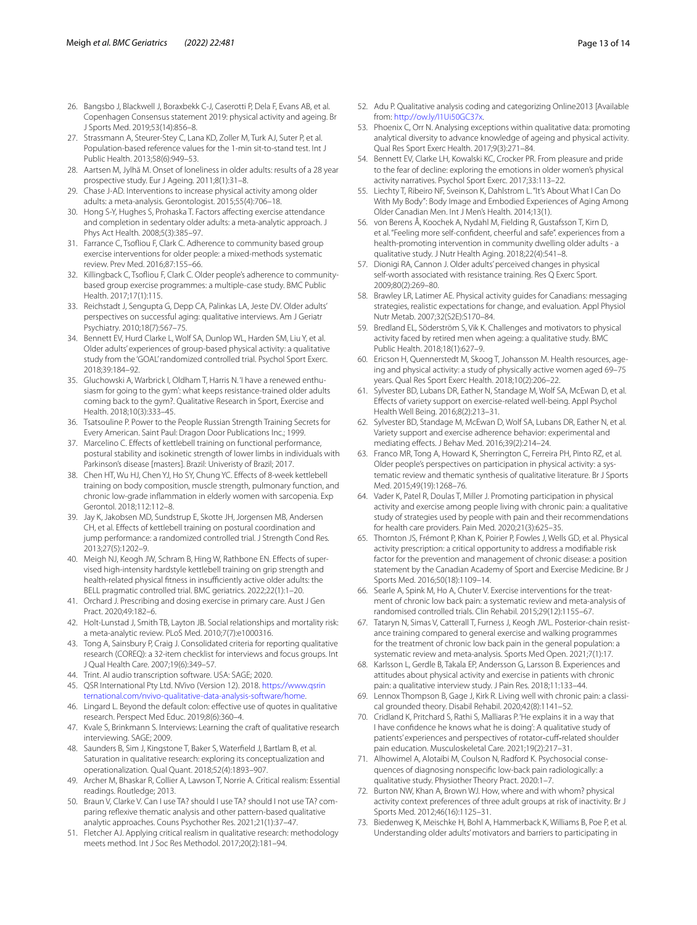- <span id="page-12-0"></span>26. Bangsbo J, Blackwell J, Boraxbekk C-J, Caserotti P, Dela F, Evans AB, et al. Copenhagen Consensus statement 2019: physical activity and ageing. Br J Sports Med. 2019;53(14):856–8.
- <span id="page-12-1"></span>27. Strassmann A, Steurer-Stey C, Lana KD, Zoller M, Turk AJ, Suter P, et al. Population-based reference values for the 1-min sit-to-stand test. Int J Public Health. 2013;58(6):949–53.
- <span id="page-12-2"></span>28. Aartsen M, Jylhä M. Onset of loneliness in older adults: results of a 28 year prospective study. Eur J Ageing. 2011;8(1):31–8.
- <span id="page-12-3"></span>29. Chase J-AD. Interventions to increase physical activity among older adults: a meta-analysis. Gerontologist. 2015;55(4):706–18.
- <span id="page-12-4"></span>30. Hong S-Y, Hughes S, Prohaska T. Factors afecting exercise attendance and completion in sedentary older adults: a meta-analytic approach. J Phys Act Health. 2008;5(3):385–97.
- <span id="page-12-45"></span>31. Farrance C, Tsofiou F, Clark C. Adherence to community based group exercise interventions for older people: a mixed-methods systematic review. Prev Med. 2016;87:155–66.
- <span id="page-12-5"></span>32. Killingback C, Tsofiou F, Clark C. Older people's adherence to communitybased group exercise programmes: a multiple-case study. BMC Public Health. 2017;17(1):115.
- <span id="page-12-6"></span>33. Reichstadt J, Sengupta G, Depp CA, Palinkas LA, Jeste DV. Older adults' perspectives on successful aging: qualitative interviews. Am J Geriatr Psychiatry. 2010;18(7):567–75.
- <span id="page-12-7"></span>34. Bennett EV, Hurd Clarke L, Wolf SA, Dunlop WL, Harden SM, Liu Y, et al. Older adults' experiences of group-based physical activity: a qualitative study from the 'GOAL' randomized controlled trial. Psychol Sport Exerc. 2018;39:184–92.
- <span id="page-12-8"></span>35. Gluchowski A, Warbrick I, Oldham T, Harris N. 'I have a renewed enthusiasm for going to the gym': what keeps resistance-trained older adults coming back to the gym?. Qualitative Research in Sport, Exercise and Health. 2018;10(3):333–45.
- <span id="page-12-9"></span>36. Tsatsouline P. Power to the People Russian Strength Training Secrets for Every American. Saint Paul: Dragon Door Publications Inc.; 1999.
- <span id="page-12-10"></span>37. Marcelino C. Efects of kettlebell training on functional performance, postural stability and isokinetic strength of lower limbs in individuals with Parkinson's disease [masters]. Brazil: Univeristy of Brazil; 2017.
- <span id="page-12-11"></span>38. Chen HT, Wu HJ, Chen YJ, Ho SY, Chung YC. Efects of 8-week kettlebell training on body composition, muscle strength, pulmonary function, and chronic low-grade infammation in elderly women with sarcopenia. Exp Gerontol. 2018;112:112–8.
- <span id="page-12-12"></span>39. Jay K, Jakobsen MD, Sundstrup E, Skotte JH, Jorgensen MB, Andersen CH, et al. Efects of kettlebell training on postural coordination and jump performance: a randomized controlled trial. J Strength Cond Res. 2013;27(5):1202–9.
- <span id="page-12-13"></span>40. Meigh NJ, Keogh JW, Schram B, Hing W, Rathbone EN. Efects of supervised high-intensity hardstyle kettlebell training on grip strength and health-related physical fitness in insufficiently active older adults: the BELL pragmatic controlled trial. BMC geriatrics. 2022;22(1):1–20.
- <span id="page-12-14"></span>41. Orchard J. Prescribing and dosing exercise in primary care. Aust J Gen Pract. 2020;49:182–6.
- <span id="page-12-15"></span>42. Holt-Lunstad J, Smith TB, Layton JB. Social relationships and mortality risk: a meta-analytic review. PLoS Med. 2010;7(7):e1000316.
- <span id="page-12-16"></span>43. Tong A, Sainsbury P, Craig J. Consolidated criteria for reporting qualitative research (COREQ): a 32-item checklist for interviews and focus groups. Int J Qual Health Care. 2007;19(6):349–57.
- <span id="page-12-17"></span>44. Trint. AI audio transcription software. USA: SAGE; 2020.
- <span id="page-12-18"></span>45. QSR International Pty Ltd. NVivo (Version 12). 2018. [https://www.qsrin](https://www.qsrinternational.com/nvivo-qualitative-data-analysis-software/home) [ternational.com/nvivo-qualitative-data-analysis-software/home.](https://www.qsrinternational.com/nvivo-qualitative-data-analysis-software/home)
- <span id="page-12-19"></span>46. Lingard L. Beyond the default colon: effective use of quotes in qualitative research. Perspect Med Educ. 2019;8(6):360–4.
- <span id="page-12-20"></span>47. Kvale S, Brinkmann S. Interviews: Learning the craft of qualitative research interviewing. SAGE; 2009.
- <span id="page-12-21"></span>48. Saunders B, Sim J, Kingstone T, Baker S, Waterfeld J, Bartlam B, et al. Saturation in qualitative research: exploring its conceptualization and operationalization. Qual Quant. 2018;52(4):1893–907.
- <span id="page-12-22"></span>49. Archer M, Bhaskar R, Collier A, Lawson T, Norrie A. Critical realism: Essential readings. Routledge; 2013.
- <span id="page-12-23"></span>50. Braun V, Clarke V. Can I use TA? should I use TA? should I not use TA? comparing refexive thematic analysis and other pattern-based qualitative analytic approaches. Couns Psychother Res. 2021;21(1):37–47.
- <span id="page-12-24"></span>51. Fletcher AJ. Applying critical realism in qualitative research: methodology meets method. Int J Soc Res Methodol. 2017;20(2):181–94.
- <span id="page-12-26"></span><span id="page-12-25"></span>53. Phoenix C, Orr N. Analysing exceptions within qualitative data: promoting analytical diversity to advance knowledge of ageing and physical activity. Qual Res Sport Exerc Health. 2017;9(3):271–84.
- <span id="page-12-27"></span>54. Bennett EV, Clarke LH, Kowalski KC, Crocker PR. From pleasure and pride to the fear of decline: exploring the emotions in older women's physical activity narratives. Psychol Sport Exerc. 2017;33:113–22.
- 55. Liechty T, Ribeiro NF, Sveinson K, Dahlstrom L. "It's About What I Can Do With My Body": Body Image and Embodied Experiences of Aging Among Older Canadian Men. Int J Men's Health. 2014;13(1).
- 56. von Berens Å, Koochek A, Nydahl M, Fielding R, Gustafsson T, Kirn D, et al. "Feeling more self-confdent, cheerful and safe". experiences from a health-promoting intervention in community dwelling older adults - a qualitative study. J Nutr Health Aging. 2018;22(4):541–8.
- <span id="page-12-28"></span>57. Dionigi RA, Cannon J. Older adults' perceived changes in physical self-worth associated with resistance training. Res Q Exerc Sport. 2009;80(2):269–80.
- <span id="page-12-29"></span>58. Brawley LR, Latimer AE. Physical activity guides for Canadians: messaging strategies, realistic expectations for change, and evaluation. Appl Physiol Nutr Metab. 2007;32(S2E):S170–84.
- <span id="page-12-30"></span>59. Bredland EL, Söderström S, Vik K. Challenges and motivators to physical activity faced by retired men when ageing: a qualitative study. BMC Public Health. 2018;18(1):627–9.
- <span id="page-12-31"></span>60. Ericson H, Quennerstedt M, Skoog T, Johansson M. Health resources, ageing and physical activity: a study of physically active women aged 69–75 years. Qual Res Sport Exerc Health. 2018;10(2):206–22.
- <span id="page-12-32"></span>61. Sylvester BD, Lubans DR, Eather N, Standage M, Wolf SA, McEwan D, et al. Efects of variety support on exercise-related well-being. Appl Psychol Health Well Being. 2016;8(2):213–31.
- <span id="page-12-33"></span>62. Sylvester BD, Standage M, McEwan D, Wolf SA, Lubans DR, Eather N, et al. Variety support and exercise adherence behavior: experimental and mediating efects. J Behav Med. 2016;39(2):214–24.
- <span id="page-12-34"></span>63. Franco MR, Tong A, Howard K, Sherrington C, Ferreira PH, Pinto RZ, et al. Older people's perspectives on participation in physical activity: a systematic review and thematic synthesis of qualitative literature. Br J Sports Med. 2015;49(19):1268–76.
- <span id="page-12-35"></span>64. Vader K, Patel R, Doulas T, Miller J. Promoting participation in physical activity and exercise among people living with chronic pain: a qualitative study of strategies used by people with pain and their recommendations for health care providers. Pain Med. 2020;21(3):625–35.
- <span id="page-12-36"></span>65. Thornton JS, Frémont P, Khan K, Poirier P, Fowles J, Wells GD, et al. Physical activity prescription: a critical opportunity to address a modifable risk factor for the prevention and management of chronic disease: a position statement by the Canadian Academy of Sport and Exercise Medicine. Br J Sports Med. 2016;50(18):1109–14.
- <span id="page-12-37"></span>66. Searle A, Spink M, Ho A, Chuter V. Exercise interventions for the treatment of chronic low back pain: a systematic review and meta-analysis of randomised controlled trials. Clin Rehabil. 2015;29(12):1155–67.
- <span id="page-12-38"></span>67. Tataryn N, Simas V, Catterall T, Furness J, Keogh JWL. Posterior-chain resistance training compared to general exercise and walking programmes for the treatment of chronic low back pain in the general population: a systematic review and meta-analysis. Sports Med Open. 2021;7(1):17.
- <span id="page-12-39"></span>68. Karlsson L, Gerdle B, Takala EP, Andersson G, Larsson B. Experiences and attitudes about physical activity and exercise in patients with chronic pain: a qualitative interview study. J Pain Res. 2018;11:133–44.
- <span id="page-12-40"></span>69. Lennox Thompson B, Gage J, Kirk R. Living well with chronic pain: a classical grounded theory. Disabil Rehabil. 2020;42(8):1141–52.
- <span id="page-12-41"></span>70. Cridland K, Pritchard S, Rathi S, Malliaras P. 'He explains it in a way that I have confdence he knows what he is doing': A qualitative study of patients' experiences and perspectives of rotator-cuff-related shoulder pain education. Musculoskeletal Care. 2021;19(2):217–31.
- <span id="page-12-42"></span>71. Alhowimel A, Alotaibi M, Coulson N, Radford K. Psychosocial consequences of diagnosing nonspecifc low-back pain radiologically: a qualitative study. Physiother Theory Pract. 2020:1–7.
- <span id="page-12-43"></span>72. Burton NW, Khan A, Brown WJ. How, where and with whom? physical activity context preferences of three adult groups at risk of inactivity. Br J Sports Med. 2012;46(16):1125–31.
- <span id="page-12-44"></span>73. Biedenweg K, Meischke H, Bohl A, Hammerback K, Williams B, Poe P, et al. Understanding older adults' motivators and barriers to participating in